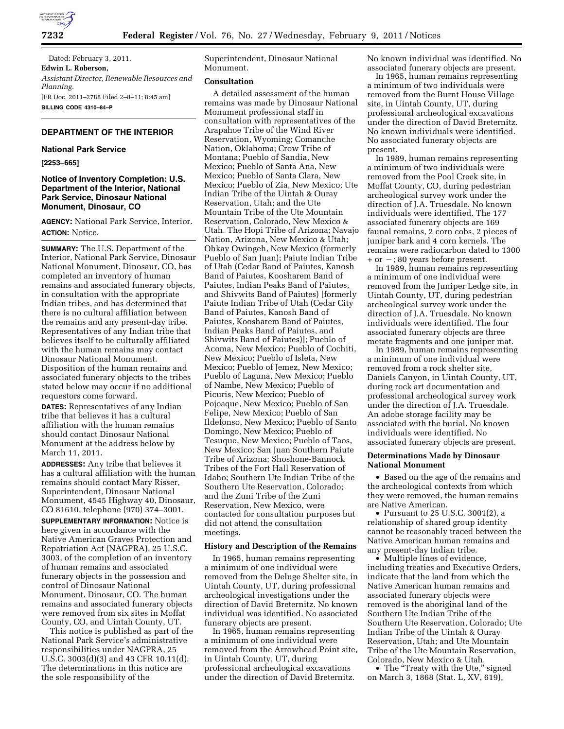

Dated: February 3, 2011. **Edwin L. Roberson,**  *Assistant Director, Renewable Resources and Planning.*  [FR Doc. 2011–2788 Filed 2–8–11; 8:45 am] **BILLING CODE 4310–84–P** 

# **DEPARTMENT OF THE INTERIOR**

#### **National Park Service**

# **[2253–665]**

# **Notice of Inventory Completion: U.S. Department of the Interior, National Park Service, Dinosaur National Monument, Dinosaur, CO**

**AGENCY:** National Park Service, Interior. **ACTION:** Notice.

**SUMMARY:** The U.S. Department of the Interior, National Park Service, Dinosaur National Monument, Dinosaur, CO, has completed an inventory of human remains and associated funerary objects, in consultation with the appropriate Indian tribes, and has determined that there is no cultural affiliation between the remains and any present-day tribe. Representatives of any Indian tribe that believes itself to be culturally affiliated with the human remains may contact Dinosaur National Monument. Disposition of the human remains and associated funerary objects to the tribes stated below may occur if no additional requestors come forward.

**DATES:** Representatives of any Indian tribe that believes it has a cultural affiliation with the human remains should contact Dinosaur National Monument at the address below by March 11, 2011.

**ADDRESSES:** Any tribe that believes it has a cultural affiliation with the human remains should contact Mary Risser, Superintendent, Dinosaur National Monument, 4545 Highway 40, Dinosaur, CO 81610, telephone (970) 374–3001.

**SUPPLEMENTARY INFORMATION:** Notice is here given in accordance with the Native American Graves Protection and Repatriation Act (NAGPRA), 25 U.S.C. 3003, of the completion of an inventory of human remains and associated funerary objects in the possession and control of Dinosaur National Monument, Dinosaur, CO. The human remains and associated funerary objects were removed from six sites in Moffat County, CO, and Uintah County, UT.

This notice is published as part of the National Park Service's administrative responsibilities under NAGPRA, 25 U.S.C. 3003(d)(3) and 43 CFR 10.11(d). The determinations in this notice are the sole responsibility of the

Superintendent, Dinosaur National Monument.

# **Consultation**

A detailed assessment of the human remains was made by Dinosaur National Monument professional staff in consultation with representatives of the Arapahoe Tribe of the Wind River Reservation, Wyoming; Comanche Nation, Oklahoma; Crow Tribe of Montana; Pueblo of Sandia, New Mexico; Pueblo of Santa Ana, New Mexico; Pueblo of Santa Clara, New Mexico; Pueblo of Zia, New Mexico; Ute Indian Tribe of the Uintah & Ouray Reservation, Utah; and the Ute Mountain Tribe of the Ute Mountain Reservation, Colorado, New Mexico & Utah. The Hopi Tribe of Arizona; Navajo Nation, Arizona, New Mexico & Utah; Ohkay Owingeh, New Mexico (formerly Pueblo of San Juan); Paiute Indian Tribe of Utah (Cedar Band of Paiutes, Kanosh Band of Paiutes, Koosharem Band of Paiutes, Indian Peaks Band of Paiutes, and Shivwits Band of Paiutes) [formerly Paiute Indian Tribe of Utah (Cedar City Band of Paiutes, Kanosh Band of Paiutes, Koosharem Band of Paiutes, Indian Peaks Band of Paiutes, and Shivwits Band of Paiutes)]; Pueblo of Acoma, New Mexico; Pueblo of Cochiti, New Mexico; Pueblo of Isleta, New Mexico; Pueblo of Jemez, New Mexico; Pueblo of Laguna, New Mexico; Pueblo of Nambe, New Mexico; Pueblo of Picuris, New Mexico; Pueblo of Pojoaque, New Mexico; Pueblo of San Felipe, New Mexico; Pueblo of San Ildefonso, New Mexico; Pueblo of Santo Domingo, New Mexico; Pueblo of Tesuque, New Mexico; Pueblo of Taos, New Mexico; San Juan Southern Paiute Tribe of Arizona; Shoshone-Bannock Tribes of the Fort Hall Reservation of Idaho; Southern Ute Indian Tribe of the Southern Ute Reservation, Colorado; and the Zuni Tribe of the Zuni Reservation, New Mexico, were contacted for consultation purposes but did not attend the consultation meetings.

## **History and Description of the Remains**

In 1965, human remains representing a minimum of one individual were removed from the Deluge Shelter site, in Uintah County, UT, during professional archeological investigations under the direction of David Breternitz. No known individual was identified. No associated funerary objects are present.

In 1965, human remains representing a minimum of one individual were removed from the Arrowhead Point site, in Uintah County, UT, during professional archeological excavations under the direction of David Breternitz.

No known individual was identified. No associated funerary objects are present.

In 1965, human remains representing a minimum of two individuals were removed from the Burnt House Village site, in Uintah County, UT, during professional archeological excavations under the direction of David Breternitz. No known individuals were identified. No associated funerary objects are present.

In 1989, human remains representing a minimum of two individuals were removed from the Pool Creek site, in Moffat County, CO, during pedestrian archeological survey work under the direction of J.A. Truesdale. No known individuals were identified. The 177 associated funerary objects are 169 faunal remains, 2 corn cobs, 2 pieces of juniper bark and 4 corn kernels. The remains were radiocarbon dated to 1300  $+$  or  $-$ ; 80 years before present.

In 1989, human remains representing a minimum of one individual were removed from the Juniper Ledge site, in Uintah County, UT, during pedestrian archeological survey work under the direction of J.A. Truesdale. No known individuals were identified. The four associated funerary objects are three metate fragments and one juniper mat.

In 1989, human remains representing a minimum of one individual were removed from a rock shelter site, Daniels Canyon, in Uintah County, UT, during rock art documentation and professional archeological survey work under the direction of J.A. Truesdale. An adobe storage facility may be associated with the burial. No known individuals were identified. No associated funerary objects are present.

### **Determinations Made by Dinosaur National Monument**

• Based on the age of the remains and the archeological contexts from which they were removed, the human remains are Native American.

• Pursuant to 25 U.S.C. 3001(2), a relationship of shared group identity cannot be reasonably traced between the Native American human remains and any present-day Indian tribe.

• Multiple lines of evidence, including treaties and Executive Orders, indicate that the land from which the Native American human remains and associated funerary objects were removed is the aboriginal land of the Southern Ute Indian Tribe of the Southern Ute Reservation, Colorado; Ute Indian Tribe of the Uintah & Ouray Reservation, Utah; and Ute Mountain Tribe of the Ute Mountain Reservation, Colorado, New Mexico & Utah.

• The "Treaty with the Ute," signed on March 3, 1868 (Stat. L, XV, 619),